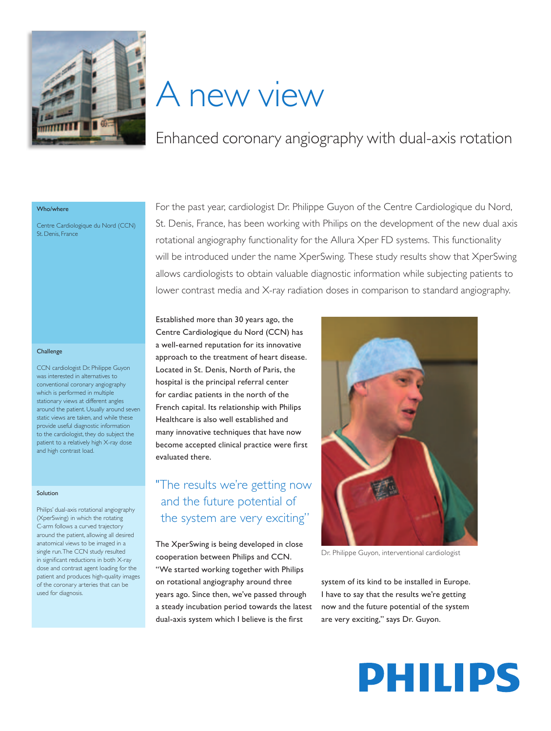

# A new view

## Enhanced coronary angiography with dual-axis rotation

#### Who/where

Centre Cardiologique du Nord (CCN) St. Denis, France

#### **Challenge**

CCN cardiologist Dr. Philippe Guyon was interested in alternatives to conventional coronary angiography which is performed in multiple stationary views at different angles around the patient. Usually around seven static views are taken, and while these provide useful diagnostic information to the cardiologist, they do subject the patient to a relatively high X-ray dose and high contrast load.

#### Solution

Philips' dual-axis rotational angiography (XperSwing) in which the rotating C-arm follows a curved trajectory around the patient, allowing all desired anatomical views to be imaged in a single run. The CCN study resulted in significant reductions in both X-ray dose and contrast agent loading for the patient and produces high-quality images of the coronary arteries that can be used for diagnosis.

For the past year, cardiologist Dr. Philippe Guyon of the Centre Cardiologique du Nord, St. Denis, France, has been working with Philips on the development of the new dual axis rotational angiography functionality for the Allura Xper FD systems. This functionality will be introduced under the name XperSwing. These study results show that XperSwing allows cardiologists to obtain valuable diagnostic information while subjecting patients to lower contrast media and X-ray radiation doses in comparison to standard angiography.

Established more than 30 years ago, the Centre Cardiologique du Nord (CCN) has a well-earned reputation for its innovative approach to the treatment of heart disease. Located in St. Denis, North of Paris, the hospital is the principal referral center for cardiac patients in the north of the French capital. Its relationship with Philips Healthcare is also well established and many innovative techniques that have now become accepted clinical practice were first evaluated there.

## "The results we're getting now and the future potential of the system are very exciting"

The XperSwing is being developed in close cooperation between Philips and CCN. "We started working together with Philips on rotational angiography around three years ago. Since then, we've passed through a steady incubation period towards the latest dual-axis system which I believe is the first



Dr. Philippe Guyon, interventional cardiologist

system of its kind to be installed in Europe. I have to say that the results we're getting now and the future potential of the system are very exciting," says Dr. Guyon.

# **PHILIPS**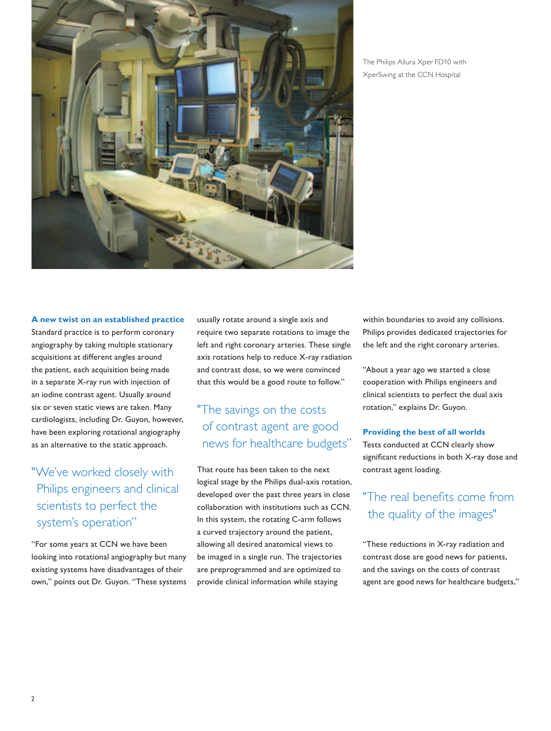

The Philips Allura Xper FD10 with XperSwing at the CCN Hospital

#### **A new twist on an established practice**

Standard practice is to perform coronary angiography by taking multiple stationary acquisitions at different angles around the patient, each acquisition being made in a separate X-ray run with injection of an iodine contrast agent. Usually around six or seven static views are taken. Many cardiologists, including Dr. Guyon, however, have been exploring rotational angiography as an alternative to the static approach.

## "We've worked closely with Philips engineers and clinical scientists to perfect the system's operation"

"For some years at CCN we have been looking into rotational angiography but many existing systems have disadvantages of their own," points out Dr. Guyon. "These systems

usually rotate around a single axis and require two separate rotations to image the left and right coronary arteries. These single axis rotations help to reduce X-ray radiation and contrast dose, so we were convinced that this would be a good route to follow."

## "The savings on the costs of contrast agent are good news for healthcare budgets"

That route has been taken to the next logical stage by the Philips dual-axis rotation, developed over the past three years in close collaboration with institutions such as CCN. In this system, the rotating C-arm follows a curved trajectory around the patient, allowing all desired anatomical views to be imaged in a single run. The trajectories are preprogrammed and are optimized to provide clinical information while staying

within boundaries to avoid any collisions. Philips provides dedicated trajectories for the left and the right coronary arteries.

"About a year ago we started a close cooperation with Philips engineers and clinical scientists to perfect the dual axis rotation," explains Dr. Guyon.

#### **Providing the best of all worlds**

Tests conducted at CCN clearly show significant reductions in both X-ray dose and contrast agent loading.

### "The real benefits come from the quality of the images"

"These reductions in X-ray radiation and contrast dose are good news for patients, and the savings on the costs of contrast agent are good news for healthcare budgets,"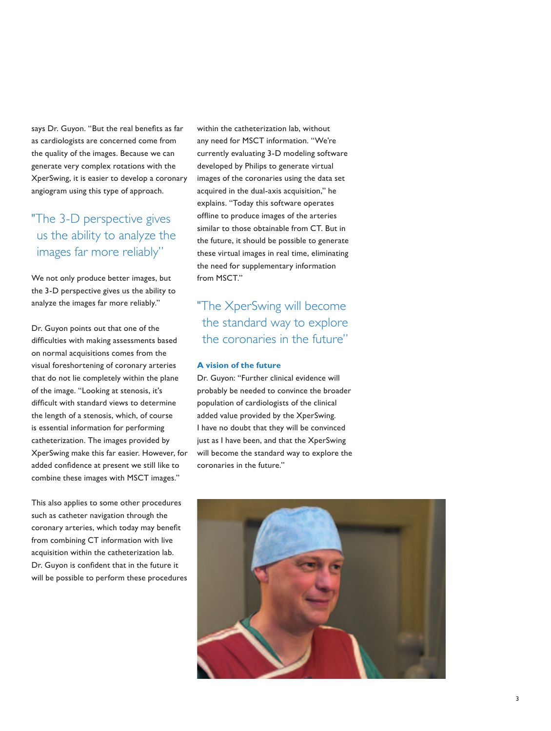says Dr. Guyon. "But the real benefits as far as cardiologists are concerned come from the quality of the images. Because we can generate very complex rotations with the XperSwing, it is easier to develop a coronary angiogram using this type of approach.

## "The 3-D perspective gives us the ability to analyze the images far more reliably"

We not only produce better images, but the 3-D perspective gives us the ability to analyze the images far more reliably."

Dr. Guyon points out that one of the difficulties with making assessments based on normal acquisitions comes from the visual foreshortening of coronary arteries that do not lie completely within the plane of the image. "Looking at stenosis, it's difficult with standard views to determine the length of a stenosis, which, of course is essential information for performing catheterization. The images provided by XperSwing make this far easier. However, for added confidence at present we still like to combine these images with MSCT images."

This also applies to some other procedures such as catheter navigation through the coronary arteries, which today may benefit from combining CT information with live acquisition within the catheterization lab. Dr. Guyon is confident that in the future it will be possible to perform these procedures within the catheterization lab, without any need for MSCT information. "We're currently evaluating 3-D modeling software developed by Philips to generate virtual images of the coronaries using the data set acquired in the dual-axis acquisition," he explains. "Today this software operates offline to produce images of the arteries similar to those obtainable from CT. But in the future, it should be possible to generate these virtual images in real time, eliminating the need for supplementary information from MSCT."

## "The XperSwing will become the standard way to explore the coronaries in the future"

#### **A vision of the future**

Dr. Guyon: "Further clinical evidence will probably be needed to convince the broader population of cardiologists of the clinical added value provided by the XperSwing. I have no doubt that they will be convinced just as I have been, and that the XperSwing will become the standard way to explore the coronaries in the future."